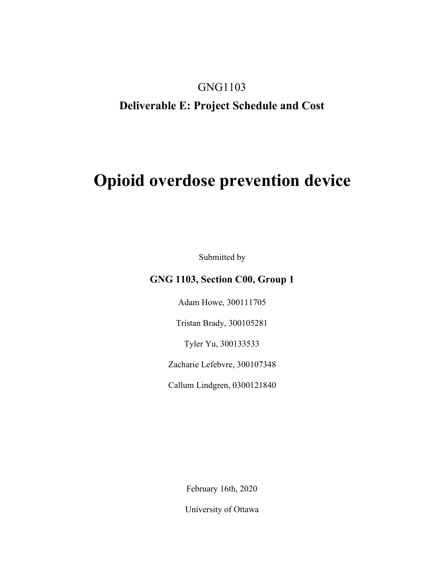## GNG1103

## **Deliverable E: Project Schedule and Cost**

# **Opioid overdose prevention device**

Submitted by

## **GNG 1103, Section C00, Group 1**

Adam Howe, 300111705

Tristan Brady, 300105281

Tyler Yu, 300133533

Zacharie Lefebvre, 300107348

Callum Lindgren, 0300121840

February 16th, 2020

University of Ottawa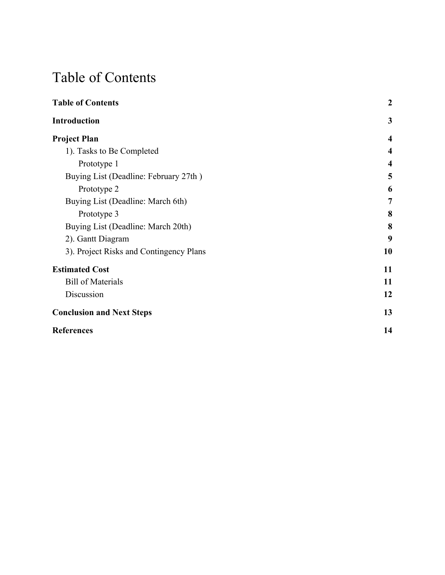# <span id="page-1-0"></span>Table of Contents

| <b>Table of Contents</b>                | $\boldsymbol{2}$        |
|-----------------------------------------|-------------------------|
| <b>Introduction</b>                     | 3                       |
| <b>Project Plan</b>                     | $\overline{4}$          |
| 1). Tasks to Be Completed               | $\overline{\mathbf{4}}$ |
| Prototype 1                             | $\overline{4}$          |
| Buying List (Deadline: February 27th)   | 5                       |
| Prototype 2                             | 6                       |
| Buying List (Deadline: March 6th)       | 7                       |
| Prototype 3                             | 8                       |
| Buying List (Deadline: March 20th)      | 8                       |
| 2). Gantt Diagram                       | 9                       |
| 3). Project Risks and Contingency Plans | 10                      |
| <b>Estimated Cost</b>                   | 11                      |
| <b>Bill of Materials</b>                | 11                      |
| Discussion                              | 12                      |
| <b>Conclusion and Next Steps</b>        | 13                      |
| <b>References</b>                       | 14                      |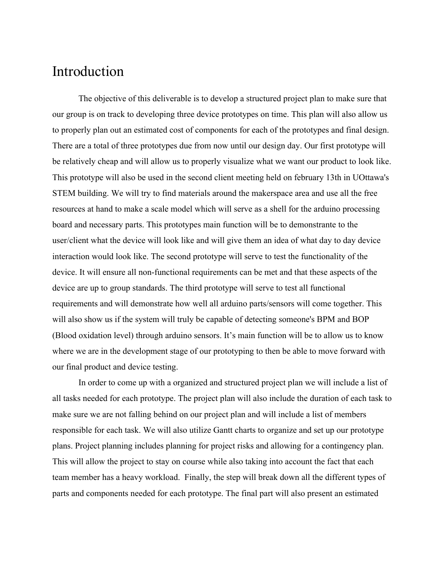## <span id="page-2-0"></span>Introduction

The objective of this deliverable is to develop a structured project plan to make sure that our group is on track to developing three device prototypes on time. This plan will also allow us to properly plan out an estimated cost of components for each of the prototypes and final design. There are a total of three prototypes due from now until our design day. Our first prototype will be relatively cheap and will allow us to properly visualize what we want our product to look like. This prototype will also be used in the second client meeting held on february 13th in UOttawa's STEM building. We will try to find materials around the makerspace area and use all the free resources at hand to make a scale model which will serve as a shell for the arduino processing board and necessary parts. This prototypes main function will be to demonstrante to the user/client what the device will look like and will give them an idea of what day to day device interaction would look like. The second prototype will serve to test the functionality of the device. It will ensure all non-functional requirements can be met and that these aspects of the device are up to group standards. The third prototype will serve to test all functional requirements and will demonstrate how well all arduino parts/sensors will come together. This will also show us if the system will truly be capable of detecting someone's BPM and BOP (Blood oxidation level) through arduino sensors. It's main function will be to allow us to know where we are in the development stage of our prototyping to then be able to move forward with our final product and device testing.

In order to come up with a organized and structured project plan we will include a list of all tasks needed for each prototype. The project plan will also include the duration of each task to make sure we are not falling behind on our project plan and will include a list of members responsible for each task. We will also utilize Gantt charts to organize and set up our prototype plans. Project planning includes planning for project risks and allowing for a contingency plan. This will allow the project to stay on course while also taking into account the fact that each team member has a heavy workload. Finally, the step will break down all the different types of parts and components needed for each prototype. The final part will also present an estimated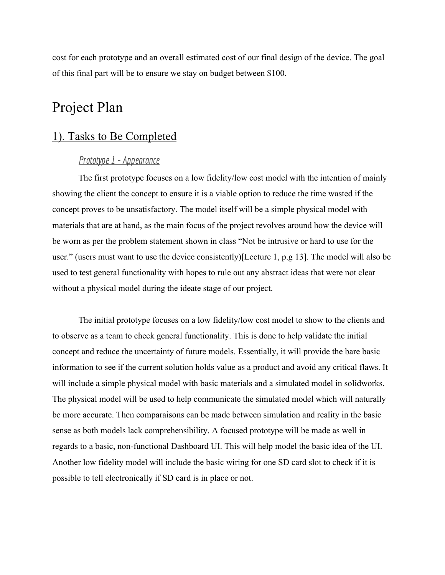cost for each prototype and an overall estimated cost of our final design of the device. The goal of this final part will be to ensure we stay on budget between \$100.

# Project Plan

## <span id="page-3-0"></span>1). Tasks to Be Completed

## *Prototype 1 - Appearance*

<span id="page-3-1"></span>The first prototype focuses on a low fidelity/low cost model with the intention of mainly showing the client the concept to ensure it is a viable option to reduce the time wasted if the concept proves to be unsatisfactory. The model itself will be a simple physical model with materials that are at hand, as the main focus of the project revolves around how the device will be worn as per the problem statement shown in class "Not be intrusive or hard to use for the user." (users must want to use the device consistently)[Lecture 1, p.g 13]. The model will also be used to test general functionality with hopes to rule out any abstract ideas that were not clear without a physical model during the ideate stage of our project.

The initial prototype focuses on a low fidelity/low cost model to show to the clients and to observe as a team to check general functionality. This is done to help validate the initial concept and reduce the uncertainty of future models. Essentially, it will provide the bare basic information to see if the current solution holds value as a product and avoid any critical flaws. It will include a simple physical model with basic materials and a simulated model in solidworks. The physical model will be used to help communicate the simulated model which will naturally be more accurate. Then comparaisons can be made between simulation and reality in the basic sense as both models lack comprehensibility. A focused prototype will be made as well in regards to a basic, non-functional Dashboard UI. This will help model the basic idea of the UI. Another low fidelity model will include the basic wiring for one SD card slot to check if it is possible to tell electronically if SD card is in place or not.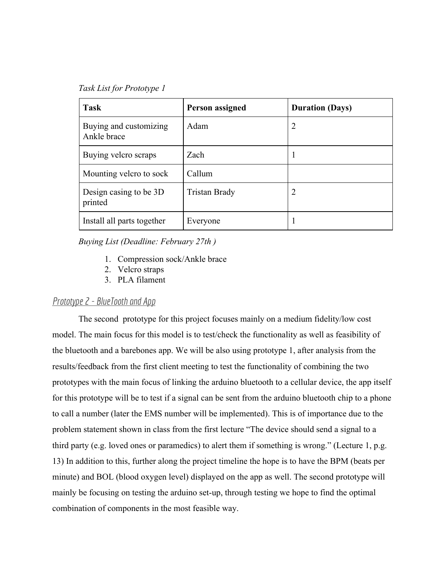*Task List for Prototype 1*

| <b>Task</b>                           | Person assigned | <b>Duration (Days)</b> |
|---------------------------------------|-----------------|------------------------|
| Buying and customizing<br>Ankle brace | Adam            | $\overline{2}$         |
| Buying velcro scraps                  | Zach            |                        |
| Mounting velcro to sock               | Callum          |                        |
| Design casing to be 3D<br>printed     | Tristan Brady   |                        |
| Install all parts together            | Everyone        |                        |

*Buying List (Deadline: February 27th )*

- 1. Compression sock/Ankle brace
- 2. Velcro straps
- 3. PLA filament

#### <span id="page-4-0"></span>*Prototype 2 - BlueToothand App*

The second prototype for this project focuses mainly on a medium fidelity/low cost model. The main focus for this model is to test/check the functionality as well as feasibility of the bluetooth and a barebones app. We will be also using prototype 1, after analysis from the results/feedback from the first client meeting to test the functionality of combining the two prototypes with the main focus of linking the arduino bluetooth to a cellular device, the app itself for this prototype will be to test if a signal can be sent from the arduino bluetooth chip to a phone to call a number (later the EMS number will be implemented). This is of importance due to the problem statement shown in class from the first lecture "The device should send a signal to a third party (e.g. loved ones or paramedics) to alert them if something is wrong." (Lecture 1, p.g. 13) In addition to this, further along the project timeline the hope is to have the BPM (beats per minute) and BOL (blood oxygen level) displayed on the app as well. The second prototype will mainly be focusing on testing the arduino set-up, through testing we hope to find the optimal combination of components in the most feasible way.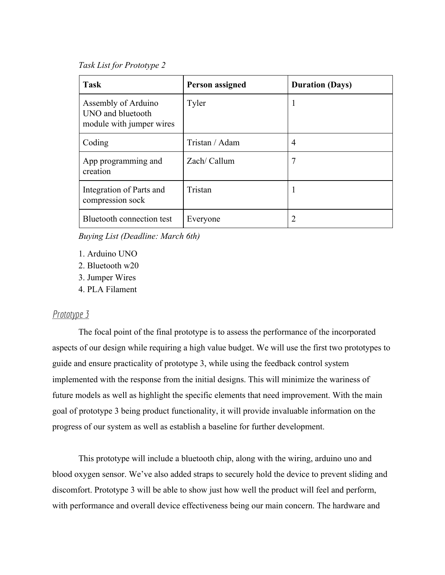*Task List for Prototype 2*

| <b>Task</b>                                                          | <b>Person assigned</b> | <b>Duration (Days)</b> |
|----------------------------------------------------------------------|------------------------|------------------------|
| Assembly of Arduino<br>UNO and bluetooth<br>module with jumper wires | Tyler                  | -1                     |
| Coding                                                               | Tristan / Adam         | $\overline{4}$         |
| App programming and<br>creation                                      | Zach/ Callum           | 7                      |
| Integration of Parts and<br>compression sock                         | Tristan                |                        |
| Bluetooth connection test                                            | Everyone               |                        |

<span id="page-5-0"></span>*Buying List (Deadline: March 6th)*

- 1. Arduino UNO
- 2. Bluetooth w20
- 3. Jumper Wires
- 4. PLA Filament

### <span id="page-5-1"></span>*Prototype 3*

The focal point of the final prototype is to assess the performance of the incorporated aspects of our design while requiring a high value budget. We will use the first two prototypes to guide and ensure practicality of prototype 3, while using the feedback control system implemented with the response from the initial designs. This will minimize the wariness of future models as well as highlight the specific elements that need improvement. With the main goal of prototype 3 being product functionality, it will provide invaluable information on the progress of our system as well as establish a baseline for further development.

This prototype will include a bluetooth chip, along with the wiring, arduino uno and blood oxygen sensor. We've also added straps to securely hold the device to prevent sliding and discomfort. Prototype 3 will be able to show just how well the product will feel and perform, with performance and overall device effectiveness being our main concern. The hardware and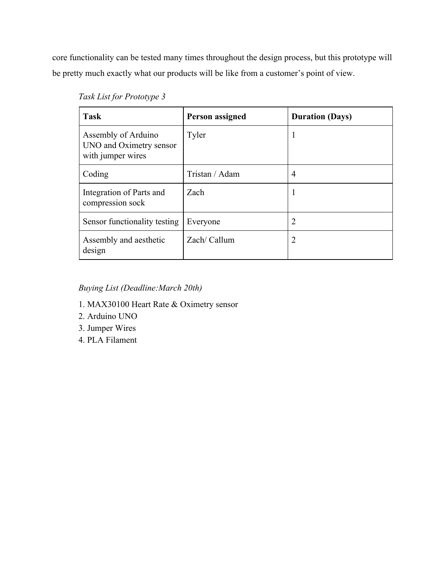core functionality can be tested many times throughout the design process, but this prototype will be pretty much exactly what our products will be like from a customer's point of view.

| <b>Task</b>                                                         | <b>Person assigned</b> | <b>Duration (Days)</b> |
|---------------------------------------------------------------------|------------------------|------------------------|
| Assembly of Arduino<br>UNO and Oximetry sensor<br>with jumper wires | Tyler                  |                        |
| Coding                                                              | Tristan / Adam         | $\overline{4}$         |
| Integration of Parts and<br>compression sock                        | Zach                   |                        |
| Sensor functionality testing                                        | Everyone               | 2                      |
| Assembly and aesthetic<br>design                                    | Zach/ Callum           | 2                      |

<span id="page-6-0"></span>*Buying List (Deadline:March 20th)*

- 1. MAX30100 Heart Rate & Oximetry sensor
- 2. Arduino UNO
- 3. Jumper Wires
- 4. PLA Filament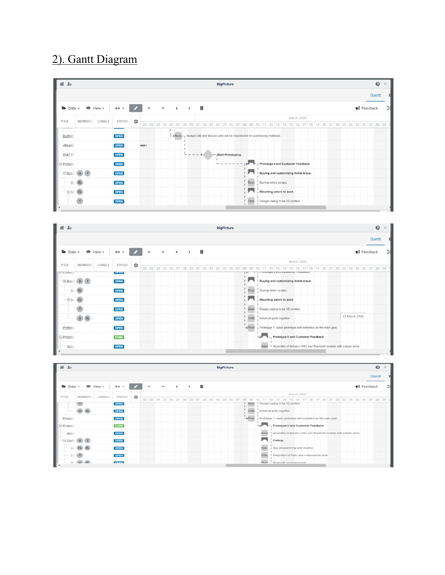# <span id="page-7-0"></span>2). Gantt Diagram

| 省<br>$rac{0}{40}$<br><b>BigPicture</b>                                                                                                                                                                                                                                       |                                 |         |      |                     |  |             | ❸                  | $\times$      |   |  |                                                                                                                |  |       |  |                                       |  |  |                                      |  |  |  |  |                                |       |  |
|------------------------------------------------------------------------------------------------------------------------------------------------------------------------------------------------------------------------------------------------------------------------------|---------------------------------|---------|------|---------------------|--|-------------|--------------------|---------------|---|--|----------------------------------------------------------------------------------------------------------------|--|-------|--|---------------------------------------|--|--|--------------------------------------|--|--|--|--|--------------------------------|-------|--|
|                                                                                                                                                                                                                                                                              |                                 |         |      |                     |  |             |                    |               |   |  |                                                                                                                |  |       |  |                                       |  |  |                                      |  |  |  |  |                                | Gantt |  |
| $\blacktriangleright$ Data $\blacktriangleright$<br>$\bullet$ View $\star$                                                                                                                                                                                                   | $\leftrightarrow$ $\rightarrow$ |         |      | $\hat{\phantom{a}}$ |  | $\check{~}$ | $\hat{\textbf{C}}$ | $\rightarrow$ | 面 |  |                                                                                                                |  |       |  |                                       |  |  |                                      |  |  |  |  | $\blacktriangleright$ Feedback |       |  |
| TITLE<br><b>MEMBERS</b><br>LABELS                                                                                                                                                                                                                                            | <b>STATUS</b>                   |         |      |                     |  |             |                    |               |   |  |                                                                                                                |  |       |  |                                       |  |  | March, 2020                          |  |  |  |  |                                |       |  |
|                                                                                                                                                                                                                                                                              |                                 | $\circ$ |      |                     |  |             |                    |               |   |  | 22 23 24 25 26 27 28 29 01 02 03 04 05 06 07 08 09 10 11 12 13 14 15 16 17 18 19 20 21 22 23 24 25 26 27 28 29 |  |       |  |                                       |  |  |                                      |  |  |  |  |                                |       |  |
| Budget                                                                                                                                                                                                                                                                       | <b>OPEN</b>                     |         |      |                     |  |             |                    |               |   |  | - Budg-1 Budget talk and discuss who will be responsible for purchasing materials                              |  |       |  |                                       |  |  |                                      |  |  |  |  |                                |       |  |
| <readin< td=""><td><b>OPEN</b></td><td></td><td>eek&gt;</td><td></td><td></td><td></td><td></td><td></td><td></td><td></td><td></td><td></td><td></td><td></td><td></td><td></td><td></td><td></td><td></td><td></td><td></td><td></td><td></td><td></td><td></td></readin<> | <b>OPEN</b>                     |         | eek> |                     |  |             |                    |               |   |  |                                                                                                                |  |       |  |                                       |  |  |                                      |  |  |  |  |                                |       |  |
| Start Pr                                                                                                                                                                                                                                                                     | <b>OPEN</b>                     |         |      |                     |  |             |                    |               |   |  | Start Prototyping                                                                                              |  |       |  |                                       |  |  |                                      |  |  |  |  |                                |       |  |
| E Prototy                                                                                                                                                                                                                                                                    | <b>OPEN</b>                     |         |      |                     |  |             |                    |               |   |  |                                                                                                                |  |       |  |                                       |  |  | Prototype I and Customer Feedback    |  |  |  |  |                                |       |  |
| $-Buyi$ $A$                                                                                                                                                                                                                                                                  | <b>OPEN</b>                     |         |      |                     |  |             |                    |               |   |  |                                                                                                                |  |       |  |                                       |  |  | I Buying and customizing Ankle brace |  |  |  |  |                                |       |  |
| ZL<br><b>BU</b>                                                                                                                                                                                                                                                              | <b>OPEN</b>                     |         |      |                     |  |             |                    |               |   |  |                                                                                                                |  | Buyir |  | Buying velcro scraps                  |  |  |                                      |  |  |  |  |                                |       |  |
| $\Box M$                                                                                                                                                                                                                                                                     | <b>OPEN</b>                     |         |      |                     |  |             |                    |               |   |  |                                                                                                                |  |       |  | Mounting velcro to sock               |  |  |                                      |  |  |  |  |                                |       |  |
| T                                                                                                                                                                                                                                                                            | <b>OPEN</b>                     |         |      |                     |  |             |                    |               |   |  |                                                                                                                |  |       |  | Desi   Design casing to be 3D printed |  |  |                                      |  |  |  |  |                                |       |  |
|                                                                                                                                                                                                                                                                              |                                 |         |      |                     |  |             |                    |               |   |  |                                                                                                                |  |       |  |                                       |  |  |                                      |  |  |  |  |                                |       |  |



| $\mathcal{R}$ 20                 |      |                |                        |                     |   |                     |             |              |               |   |  | <b>BigPicture</b> |  |                                                                                                                                                    |       |             |                                                                  |             |  |  |  |  |  |                                | $\odot$ | $\times$ |
|----------------------------------|------|----------------|------------------------|---------------------|---|---------------------|-------------|--------------|---------------|---|--|-------------------|--|----------------------------------------------------------------------------------------------------------------------------------------------------|-------|-------------|------------------------------------------------------------------|-------------|--|--|--|--|--|--------------------------------|---------|----------|
|                                  |      |                |                        |                     |   |                     |             |              |               |   |  |                   |  |                                                                                                                                                    |       |             |                                                                  |             |  |  |  |  |  |                                | Gantt   |          |
| $\rightarrow$ Data $\rightarrow$ |      |                | $\bullet$ View $\star$ | $\leftrightarrow$ + |   | $\hat{\phantom{a}}$ | $\check{~}$ | $\checkmark$ | $\rightarrow$ | 面 |  |                   |  |                                                                                                                                                    |       |             |                                                                  |             |  |  |  |  |  | $\blacktriangleright$ Feedback |         |          |
| TITLE                            |      | <b>MEMBERS</b> | LABELS                 | <b>STATUS</b>       | ≎ |                     |             |              |               |   |  |                   |  |                                                                                                                                                    |       |             |                                                                  | March, 2020 |  |  |  |  |  |                                |         |          |
|                                  |      |                |                        |                     |   |                     |             |              |               |   |  |                   |  | 22  23  24  25  26  27  28  29  01  02  03  04  05  06  07  08  09  10  11  12  13  14  15  16  17  18  19  20  21  22  23  24  25  26  27  28  29 |       |             |                                                                  |             |  |  |  |  |  |                                |         |          |
|                                  |      |                |                        | OPEN                |   |                     |             |              |               |   |  |                   |  | Desi                                                                                                                                               |       |             | I Design casing to be 3D printed                                 |             |  |  |  |  |  |                                |         |          |
|                                  |      | CL<br>A        |                        | <b>OPEN</b>         |   |                     |             |              |               |   |  |                   |  | Insta                                                                                                                                              |       |             | Install all parts together                                       |             |  |  |  |  |  |                                |         |          |
| Prototy                          |      |                |                        | <b>OPEN</b>         |   |                     |             |              |               |   |  |                   |  | $\rightarrow$ Proto                                                                                                                                |       |             | Prototype 1- basic prototype with esthetics as the main goal     |             |  |  |  |  |  |                                |         |          |
| $E$ Prototy                      |      |                |                        | <b>DONE</b>         |   |                     |             |              |               |   |  |                   |  |                                                                                                                                                    | الجنا |             | Prototype II and Customer Feedback                               |             |  |  |  |  |  |                                |         |          |
|                                  | Asse |                |                        | <b>OPEN</b>         |   |                     |             |              |               |   |  |                   |  |                                                                                                                                                    |       | Asse        | I Assembly of Arduino UNO and Bluetooth module with jumper wires |             |  |  |  |  |  |                                |         |          |
| $\equiv$ Codin                   |      | $-{\bf A}$     |                        | <b>OPEN</b>         |   |                     |             |              |               |   |  |                   |  |                                                                                                                                                    |       | ы           | . Coding                                                         |             |  |  |  |  |  |                                |         |          |
|                                  |      |                |                        | <b>OPEN</b>         |   |                     |             |              |               |   |  |                   |  |                                                                                                                                                    |       | App         | App programming and creation                                     |             |  |  |  |  |  |                                |         |          |
|                                  |      |                |                        | <b>OPEN</b>         |   |                     |             |              |               |   |  |                   |  |                                                                                                                                                    |       | Integ       | I Integration of Parts and compression sock                      |             |  |  |  |  |  |                                |         |          |
|                                  | D.L. | $\Lambda$ $Cl$ |                        | <b>ODEM</b>         |   |                     |             |              |               |   |  |                   |  |                                                                                                                                                    |       | <b>Blue</b> | Bluetooth connection test                                        |             |  |  |  |  |  |                                |         |          |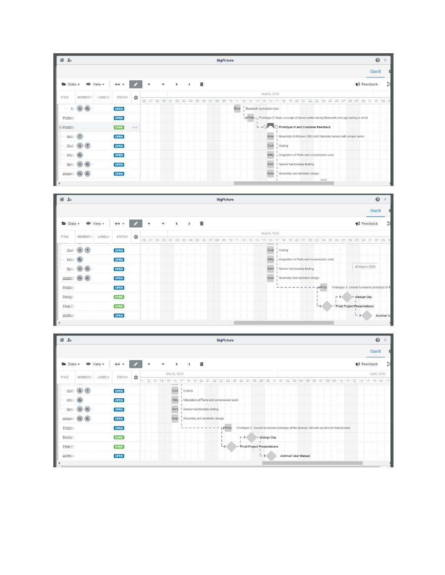



| $\mathcal{R}$ 20                                                           |                                 |   |                     |             |                          |                                             |    |    |                                                                               | <b>BigPicture</b> |                                                                                              |               |  |  |                      |  |  |  |  |                                | $\odot$     | $\times$ |
|----------------------------------------------------------------------------|---------------------------------|---|---------------------|-------------|--------------------------|---------------------------------------------|----|----|-------------------------------------------------------------------------------|-------------------|----------------------------------------------------------------------------------------------|---------------|--|--|----------------------|--|--|--|--|--------------------------------|-------------|----------|
|                                                                            |                                 |   |                     |             |                          |                                             |    |    |                                                                               |                   |                                                                                              |               |  |  |                      |  |  |  |  |                                | Gantt       |          |
| $\bullet$ View $\star$<br>$\blacktriangleright$ Data $\blacktriangleright$ | $\leftrightarrow$ $\rightarrow$ |   | $\hat{\phantom{a}}$ | $\check{~}$ | $\overline{\phantom{a}}$ | $\rightarrow$                               |    | 面  |                                                                               |                   |                                                                                              |               |  |  |                      |  |  |  |  | $\blacktriangleright$ Feedback |             |          |
| TITLE<br><b>MEMBERS</b><br>LABELS                                          | <b>STATUS</b>                   | ۰ |                     |             | March, 2020              |                                             |    |    |                                                                               |                   |                                                                                              |               |  |  |                      |  |  |  |  |                                | April, 2020 |          |
|                                                                            |                                 |   | 1 12 13 14          |             | $\sim$                   |                                             | 19 | 20 | 21 22 23 24 25 26 27 28 29 30 31 01 02 03 04 05 06 07 08 09 10 11 12 13 14 15 |                   |                                                                                              |               |  |  |                      |  |  |  |  |                                |             | 16 17    |
| Codi A T                                                                   | OPEN                            |   |                     |             | Codi                     | Coding                                      |    |    |                                                                               |                   |                                                                                              |               |  |  |                      |  |  |  |  |                                |             |          |
| Integ<br>ZL                                                                | <b>OPEN</b>                     |   |                     |             | Integ                    | I Integration of Parts and compression sock |    |    |                                                                               |                   |                                                                                              |               |  |  |                      |  |  |  |  |                                |             |          |
| Sens<br>A<br><b>CL</b>                                                     | <b>OPEN</b>                     |   |                     |             | Sens                     | I Sensor functionality testing              |    |    |                                                                               |                   |                                                                                              |               |  |  |                      |  |  |  |  |                                |             |          |
| CL ZL<br>Assemi                                                            | <b>OPEN</b>                     |   |                     |             | Asse                     |                                             |    |    | Assembly and aesthetic design                                                 |                   |                                                                                              |               |  |  |                      |  |  |  |  |                                |             |          |
| Prototy                                                                    | <b>OPEN</b>                     |   |                     |             |                          |                                             |    |    |                                                                               | $r+Protc$         | Prototype 3- Overall functional prototype of the product. We will use this for final product |               |  |  |                      |  |  |  |  |                                |             |          |
| Design                                                                     | <b>DONE</b>                     |   |                     |             |                          |                                             |    |    |                                                                               |                   | $ \rightarrow$                                                                               | - ¡Design Day |  |  |                      |  |  |  |  |                                |             |          |
| Final Pr                                                                   | <b>DONE</b>                     |   |                     |             |                          |                                             |    |    |                                                                               | ∸                 | - Final Project Presentations                                                                |               |  |  |                      |  |  |  |  |                                |             |          |
| Archive                                                                    | <b>OPEN</b>                     |   |                     |             |                          |                                             |    |    |                                                                               |                   |                                                                                              | $-$           |  |  | Archive/ User Manual |  |  |  |  |                                |             |          |
|                                                                            |                                 |   |                     |             |                          |                                             |    |    |                                                                               |                   |                                                                                              |               |  |  |                      |  |  |  |  |                                |             |          |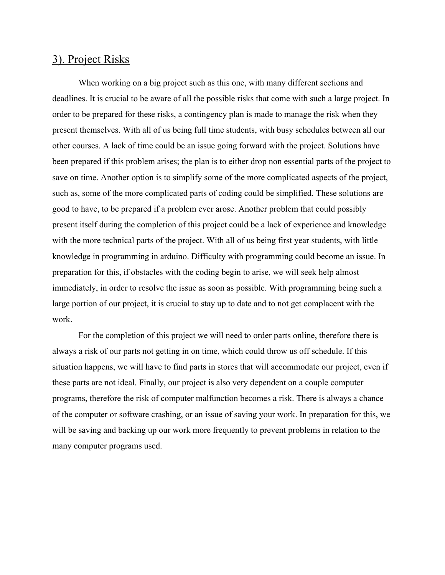## <span id="page-9-0"></span>3). Project Risks

When working on a big project such as this one, with many different sections and deadlines. It is crucial to be aware of all the possible risks that come with such a large project. In order to be prepared for these risks, a contingency plan is made to manage the risk when they present themselves. With all of us being full time students, with busy schedules between all our other courses. A lack of time could be an issue going forward with the project. Solutions have been prepared if this problem arises; the plan is to either drop non essential parts of the project to save on time. Another option is to simplify some of the more complicated aspects of the project, such as, some of the more complicated parts of coding could be simplified. These solutions are good to have, to be prepared if a problem ever arose. Another problem that could possibly present itself during the completion of this project could be a lack of experience and knowledge with the more technical parts of the project. With all of us being first year students, with little knowledge in programming in arduino. Difficulty with programming could become an issue. In preparation for this, if obstacles with the coding begin to arise, we will seek help almost immediately, in order to resolve the issue as soon as possible. With programming being such a large portion of our project, it is crucial to stay up to date and to not get complacent with the work.

For the completion of this project we will need to order parts online, therefore there is always a risk of our parts not getting in on time, which could throw us off schedule. If this situation happens, we will have to find parts in stores that will accommodate our project, even if these parts are not ideal. Finally, our project is also very dependent on a couple computer programs, therefore the risk of computer malfunction becomes a risk. There is always a chance of the computer or software crashing, or an issue of saving your work. In preparation for this, we will be saving and backing up our work more frequently to prevent problems in relation to the many computer programs used.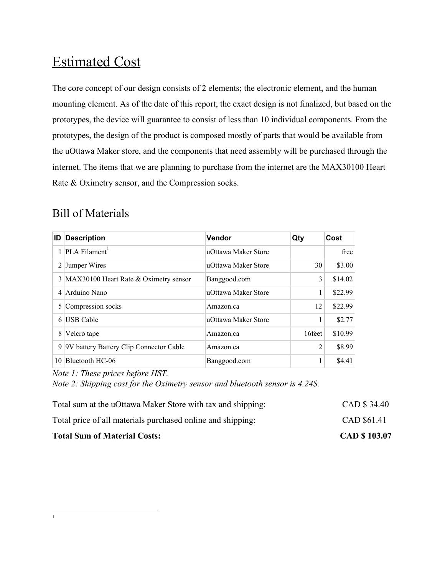# Estimated Cost

The core concept of our design consists of 2 elements; the electronic element, and the human mounting element. As of the date of this report, the exact design is not finalized, but based on the prototypes, the device will guarantee to consist of less than 10 individual components. From the prototypes, the design of the product is composed mostly of parts that would be available from the uOttawa Maker store, and the components that need assembly will be purchased through the internet. The items that we are planning to purchase from the internet are the MAX30100 Heart Rate & Oximetry sensor, and the Compression socks.

## <span id="page-10-0"></span>Bill of Materials

| ID             | <b>Description</b>                      | Vendor              | Qty    | Cost    |
|----------------|-----------------------------------------|---------------------|--------|---------|
|                | $1$ PLA Filament <sup>1</sup>           | uOttawa Maker Store |        | free    |
| $\overline{2}$ | Jumper Wires                            | uOttawa Maker Store | 30     | \$3.00  |
|                | 3 MAX30100 Heart Rate & Oximetry sensor | Banggood.com        | 3      | \$14.02 |
|                | 4 Arduino Nano                          | uOttawa Maker Store | 1      | \$22.99 |
|                | 5 Compression socks                     | Amazon.ca           | 12     | \$22.99 |
| 6              | <b>USB</b> Cable                        | uOttawa Maker Store | 1      | \$2.77  |
| 8              | Velcro tape                             | Amazon.ca           | 16feet | \$10.99 |
| 9              | 9V battery Battery Clip Connector Cable | Amazon.ca           | 2      | \$8.99  |
| 10             | Bluetooth HC-06                         | Banggood.com        | 1      | \$4.41  |

*Note 1: These prices before HST.*

*Note 2: Shipping cost for the Oximetry sensor and bluetooth sensor is 4.24\$.*

| <b>Total Sum of Material Costs:</b>                         | <b>CAD \$103.07</b> |
|-------------------------------------------------------------|---------------------|
| Total price of all materials purchased online and shipping: | CAD \$61.41         |
| Total sum at the uOttawa Maker Store with tax and shipping: | CAD \$34.40         |

<sup>1</sup>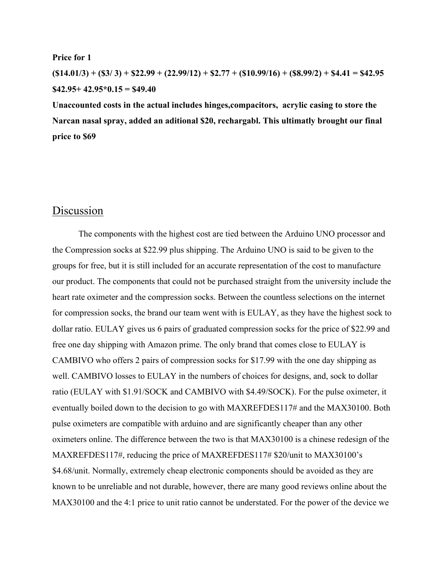#### **Price for 1**

 $($14.01/3) + ($3/3) + $22.99 + (22.99/12) + $2.77 + ($10.99/16) + ($8.99/2) + $4.41 = $42.95$ **\$42.95+ 42.95\*0.15 = \$49.40**

**Unaccounted costs in the actual includes hinges,compacitors, acrylic casing to store the Narcan nasal spray, added an aditional \$20, rechargabl. This ultimatly brought our final price to \$69**

## Discussion

The components with the highest cost are tied between the Arduino UNO processor and the Compression socks at \$22.99 plus shipping. The Arduino UNO is said to be given to the groups for free, but it is still included for an accurate representation of the cost to manufacture our product. The components that could not be purchased straight from the university include the heart rate oximeter and the compression socks. Between the countless selections on the internet for compression socks, the brand our team went with is EULAY, as they have the highest sock to dollar ratio. EULAY gives us 6 pairs of graduated compression socks for the price of \$22.99 and free one day shipping with Amazon prime. The only brand that comes close to EULAY is CAMBIVO who offers 2 pairs of compression socks for \$17.99 with the one day shipping as well. CAMBIVO losses to EULAY in the numbers of choices for designs, and, sock to dollar ratio (EULAY with \$1.91/SOCK and CAMBIVO with \$4.49/SOCK). For the pulse oximeter, it eventually boiled down to the decision to go with MAXREFDES117# and the MAX30100. Both pulse oximeters are compatible with arduino and are significantly cheaper than any other oximeters online. The difference between the two is that MAX30100 is a chinese redesign of the MAXREFDES117#, reducing the price of MAXREFDES117# \$20/unit to MAX30100's \$4.68/unit. Normally, extremely cheap electronic components should be avoided as they are known to be unreliable and not durable, however, there are many good reviews online about the MAX30100 and the 4:1 price to unit ratio cannot be understated. For the power of the device we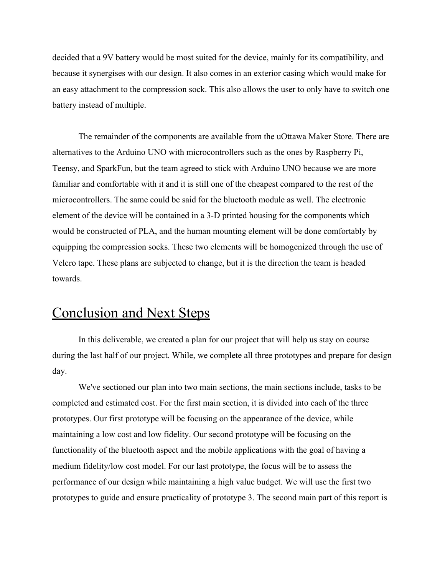decided that a 9V battery would be most suited for the device, mainly for its compatibility, and because it synergises with our design. It also comes in an exterior casing which would make for an easy attachment to the compression sock. This also allows the user to only have to switch one battery instead of multiple.

The remainder of the components are available from the uOttawa Maker Store. There are alternatives to the Arduino UNO with microcontrollers such as the ones by Raspberry Pi, Teensy, and SparkFun, but the team agreed to stick with Arduino UNO because we are more familiar and comfortable with it and it is still one of the cheapest compared to the rest of the microcontrollers. The same could be said for the bluetooth module as well. The electronic element of the device will be contained in a 3-D printed housing for the components which would be constructed of PLA, and the human mounting element will be done comfortably by equipping the compression socks. These two elements will be homogenized through the use of Velcro tape. These plans are subjected to change, but it is the direction the team is headed towards.

# Conclusion and Next Steps

In this deliverable, we created a plan for our project that will help us stay on course during the last half of our project. While, we complete all three prototypes and prepare for design day.

We've sectioned our plan into two main sections, the main sections include, tasks to be completed and estimated cost. For the first main section, it is divided into each of the three prototypes. Our first prototype will be focusing on the appearance of the device, while maintaining a low cost and low fidelity. Our second prototype will be focusing on the functionality of the bluetooth aspect and the mobile applications with the goal of having a medium fidelity/low cost model. For our last prototype, the focus will be to assess the performance of our design while maintaining a high value budget. We will use the first two prototypes to guide and ensure practicality of prototype 3. The second main part of this report is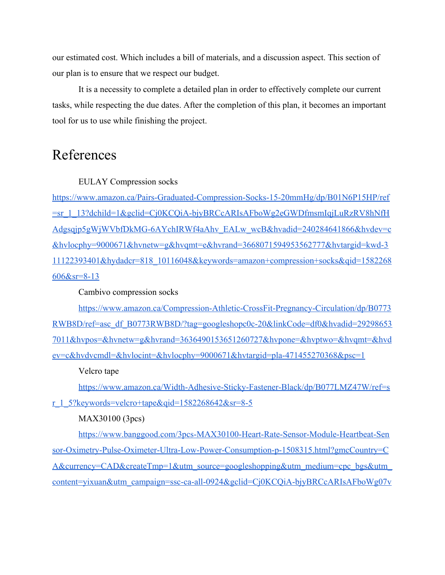our estimated cost. Which includes a bill of materials, and a discussion aspect. This section of our plan is to ensure that we respect our budget.

It is a necessity to complete a detailed plan in order to effectively complete our current tasks, while respecting the due dates. After the completion of this plan, it becomes an important tool for us to use while finishing the project.

# References

EULAY Compression socks

[https://www.amazon.ca/Pairs-Graduated-Compression-Socks-15-20mmHg/dp/B01N6P15HP/ref](https://www.amazon.ca/Pairs-Graduated-Compression-Socks-15-20mmHg/dp/B01N6P15HP/ref=sr_1_13?dchild=1&gclid=Cj0KCQiA-bjyBRCcARIsAFboWg2eGWDfmsmIqjLuRzRV8hNfHAdgsqjp5gWjWVbfDkMG-6AYchIRWf4aAhv_EALw_wcB&hvadid=240284641866&hvdev=c&hvlocphy=9000671&hvnetw=g&hvqmt=e&hvrand=3668071594953562777&hvtargid=kwd-311122393401&hydadcr=818_10116048&keywords=amazon+compression+socks&qid=1582268606&sr=8-13) [=sr\\_1\\_13?dchild=1&gclid=Cj0KCQiA-bjyBRCcARIsAFboWg2eGWDfmsmIqjLuRzRV8hNfH](https://www.amazon.ca/Pairs-Graduated-Compression-Socks-15-20mmHg/dp/B01N6P15HP/ref=sr_1_13?dchild=1&gclid=Cj0KCQiA-bjyBRCcARIsAFboWg2eGWDfmsmIqjLuRzRV8hNfHAdgsqjp5gWjWVbfDkMG-6AYchIRWf4aAhv_EALw_wcB&hvadid=240284641866&hvdev=c&hvlocphy=9000671&hvnetw=g&hvqmt=e&hvrand=3668071594953562777&hvtargid=kwd-311122393401&hydadcr=818_10116048&keywords=amazon+compression+socks&qid=1582268606&sr=8-13) [Adgsqjp5gWjWVbfDkMG-6AYchIRWf4aAhv\\_EALw\\_wcB&hvadid=240284641866&hvdev=c](https://www.amazon.ca/Pairs-Graduated-Compression-Socks-15-20mmHg/dp/B01N6P15HP/ref=sr_1_13?dchild=1&gclid=Cj0KCQiA-bjyBRCcARIsAFboWg2eGWDfmsmIqjLuRzRV8hNfHAdgsqjp5gWjWVbfDkMG-6AYchIRWf4aAhv_EALw_wcB&hvadid=240284641866&hvdev=c&hvlocphy=9000671&hvnetw=g&hvqmt=e&hvrand=3668071594953562777&hvtargid=kwd-311122393401&hydadcr=818_10116048&keywords=amazon+compression+socks&qid=1582268606&sr=8-13) [&hvlocphy=9000671&hvnetw=g&hvqmt=e&hvrand=3668071594953562777&hvtargid=kwd-3](https://www.amazon.ca/Pairs-Graduated-Compression-Socks-15-20mmHg/dp/B01N6P15HP/ref=sr_1_13?dchild=1&gclid=Cj0KCQiA-bjyBRCcARIsAFboWg2eGWDfmsmIqjLuRzRV8hNfHAdgsqjp5gWjWVbfDkMG-6AYchIRWf4aAhv_EALw_wcB&hvadid=240284641866&hvdev=c&hvlocphy=9000671&hvnetw=g&hvqmt=e&hvrand=3668071594953562777&hvtargid=kwd-311122393401&hydadcr=818_10116048&keywords=amazon+compression+socks&qid=1582268606&sr=8-13) [11122393401&hydadcr=818\\_10116048&keywords=amazon+compression+socks&qid=1582268](https://www.amazon.ca/Pairs-Graduated-Compression-Socks-15-20mmHg/dp/B01N6P15HP/ref=sr_1_13?dchild=1&gclid=Cj0KCQiA-bjyBRCcARIsAFboWg2eGWDfmsmIqjLuRzRV8hNfHAdgsqjp5gWjWVbfDkMG-6AYchIRWf4aAhv_EALw_wcB&hvadid=240284641866&hvdev=c&hvlocphy=9000671&hvnetw=g&hvqmt=e&hvrand=3668071594953562777&hvtargid=kwd-311122393401&hydadcr=818_10116048&keywords=amazon+compression+socks&qid=1582268606&sr=8-13) [606&sr=8-13](https://www.amazon.ca/Pairs-Graduated-Compression-Socks-15-20mmHg/dp/B01N6P15HP/ref=sr_1_13?dchild=1&gclid=Cj0KCQiA-bjyBRCcARIsAFboWg2eGWDfmsmIqjLuRzRV8hNfHAdgsqjp5gWjWVbfDkMG-6AYchIRWf4aAhv_EALw_wcB&hvadid=240284641866&hvdev=c&hvlocphy=9000671&hvnetw=g&hvqmt=e&hvrand=3668071594953562777&hvtargid=kwd-311122393401&hydadcr=818_10116048&keywords=amazon+compression+socks&qid=1582268606&sr=8-13)

Cambivo compression socks

[https://www.amazon.ca/Compression-Athletic-CrossFit-Pregnancy-Circulation/dp/B0773](https://www.amazon.ca/Compression-Athletic-CrossFit-Pregnancy-Circulation/dp/B0773RWB8D/ref=asc_df_B0773RWB8D/?tag=googleshopc0c-20&linkCode=df0&hvadid=292986537011&hvpos=&hvnetw=g&hvrand=3636490153651260727&hvpone=&hvptwo=&hvqmt=&hvdev=c&hvdvcmdl=&hvlocint=&hvlocphy=9000671&hvtargid=pla-471455270368&psc=1) [RWB8D/ref=asc\\_df\\_B0773RWB8D/?tag=googleshopc0c-20&linkCode=df0&hvadid=29298653](https://www.amazon.ca/Compression-Athletic-CrossFit-Pregnancy-Circulation/dp/B0773RWB8D/ref=asc_df_B0773RWB8D/?tag=googleshopc0c-20&linkCode=df0&hvadid=292986537011&hvpos=&hvnetw=g&hvrand=3636490153651260727&hvpone=&hvptwo=&hvqmt=&hvdev=c&hvdvcmdl=&hvlocint=&hvlocphy=9000671&hvtargid=pla-471455270368&psc=1) [7011&hvpos=&hvnetw=g&hvrand=3636490153651260727&hvpone=&hvptwo=&hvqmt=&hvd](https://www.amazon.ca/Compression-Athletic-CrossFit-Pregnancy-Circulation/dp/B0773RWB8D/ref=asc_df_B0773RWB8D/?tag=googleshopc0c-20&linkCode=df0&hvadid=292986537011&hvpos=&hvnetw=g&hvrand=3636490153651260727&hvpone=&hvptwo=&hvqmt=&hvdev=c&hvdvcmdl=&hvlocint=&hvlocphy=9000671&hvtargid=pla-471455270368&psc=1) [ev=c&hvdvcmdl=&hvlocint=&hvlocphy=9000671&hvtargid=pla-471455270368&psc=1](https://www.amazon.ca/Compression-Athletic-CrossFit-Pregnancy-Circulation/dp/B0773RWB8D/ref=asc_df_B0773RWB8D/?tag=googleshopc0c-20&linkCode=df0&hvadid=292986537011&hvpos=&hvnetw=g&hvrand=3636490153651260727&hvpone=&hvptwo=&hvqmt=&hvdev=c&hvdvcmdl=&hvlocint=&hvlocphy=9000671&hvtargid=pla-471455270368&psc=1)

Velcro tape

[https://www.amazon.ca/Width-Adhesive-Sticky-Fastener-Black/dp/B077LMZ47W/ref=s](https://www.amazon.ca/Width-Adhesive-Sticky-Fastener-Black/dp/B077LMZ47W/ref=sr_1_5?keywords=velcro+tape&qid=1582268642&sr=8-5) [r\\_1\\_5?keywords=velcro+tape&qid=1582268642&sr=8-5](https://www.amazon.ca/Width-Adhesive-Sticky-Fastener-Black/dp/B077LMZ47W/ref=sr_1_5?keywords=velcro+tape&qid=1582268642&sr=8-5)

MAX30100 (3pcs)

[https://www.banggood.com/3pcs-MAX30100-Heart-Rate-Sensor-Module-Heartbeat-Sen](https://www.banggood.com/3pcs-MAX30100-Heart-Rate-Sensor-Module-Heartbeat-Sensor-Oximetry-Pulse-Oximeter-Ultra-Low-Power-Consumption-p-1508315.html?gmcCountry=CA¤cy=CAD&createTmp=1&utm_source=googleshopping&utm_medium=cpc_bgs&utm_content=yixuan&utm_campaign=ssc-ca-all-0924&gclid=Cj0KCQiA-bjyBRCcARIsAFboWg07vlOC14ewMETb_KVUXhGg4O14-tRpiFY7WMneZAzcIAOoIH1Mlo8aAqRGEALw_wcB&cur_warehouse=CN) [sor-Oximetry-Pulse-Oximeter-Ultra-Low-Power-Consumption-p-1508315.html?gmcCountry=C](https://www.banggood.com/3pcs-MAX30100-Heart-Rate-Sensor-Module-Heartbeat-Sensor-Oximetry-Pulse-Oximeter-Ultra-Low-Power-Consumption-p-1508315.html?gmcCountry=CA¤cy=CAD&createTmp=1&utm_source=googleshopping&utm_medium=cpc_bgs&utm_content=yixuan&utm_campaign=ssc-ca-all-0924&gclid=Cj0KCQiA-bjyBRCcARIsAFboWg07vlOC14ewMETb_KVUXhGg4O14-tRpiFY7WMneZAzcIAOoIH1Mlo8aAqRGEALw_wcB&cur_warehouse=CN) [A&currency=CAD&createTmp=1&utm\\_source=googleshopping&utm\\_medium=cpc\\_bgs&utm\\_](https://www.banggood.com/3pcs-MAX30100-Heart-Rate-Sensor-Module-Heartbeat-Sensor-Oximetry-Pulse-Oximeter-Ultra-Low-Power-Consumption-p-1508315.html?gmcCountry=CA¤cy=CAD&createTmp=1&utm_source=googleshopping&utm_medium=cpc_bgs&utm_content=yixuan&utm_campaign=ssc-ca-all-0924&gclid=Cj0KCQiA-bjyBRCcARIsAFboWg07vlOC14ewMETb_KVUXhGg4O14-tRpiFY7WMneZAzcIAOoIH1Mlo8aAqRGEALw_wcB&cur_warehouse=CN) [content=yixuan&utm\\_campaign=ssc-ca-all-0924&gclid=Cj0KCQiA-bjyBRCcARIsAFboWg07v](https://www.banggood.com/3pcs-MAX30100-Heart-Rate-Sensor-Module-Heartbeat-Sensor-Oximetry-Pulse-Oximeter-Ultra-Low-Power-Consumption-p-1508315.html?gmcCountry=CA¤cy=CAD&createTmp=1&utm_source=googleshopping&utm_medium=cpc_bgs&utm_content=yixuan&utm_campaign=ssc-ca-all-0924&gclid=Cj0KCQiA-bjyBRCcARIsAFboWg07vlOC14ewMETb_KVUXhGg4O14-tRpiFY7WMneZAzcIAOoIH1Mlo8aAqRGEALw_wcB&cur_warehouse=CN)